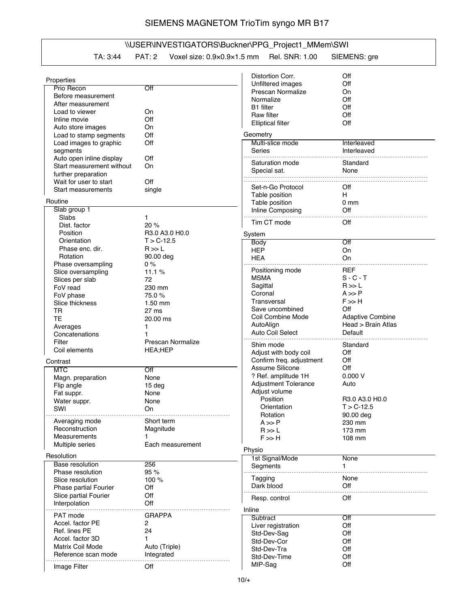## SIEMENS MAGNETOM TrioTim syngo MR B17

## \\USER\INVESTIGATORS\Buckner\PPG\_Project1\_MMem\SWI

## TA: 3:44 PAT: 2 Voxel size: 0.9×0.9×1.5 mm Rel. SNR: 1.00 SIEMENS: gre

|                              |                   | Distortion Corr.            | Off                     |
|------------------------------|-------------------|-----------------------------|-------------------------|
| Properties                   |                   |                             |                         |
| Prio Recon                   | Off               | Unfiltered images           | Off                     |
| Before measurement           |                   | Prescan Normalize           | On                      |
| After measurement            |                   | Normalize                   | Off                     |
| Load to viewer               | On                | B1 filter                   | Off                     |
| Inline movie                 | Off               | Raw filter                  | Off                     |
|                              |                   | <b>Elliptical filter</b>    | Off                     |
| Auto store images            | On                |                             |                         |
| Load to stamp segments       | Off               | Geometry                    |                         |
| Load images to graphic       | Off               | Multi-slice mode            | Interleaved             |
| segments                     |                   | Series                      | Interleaved             |
| Auto open inline display     | Off               |                             |                         |
| Start measurement without    | On                | Saturation mode             | Standard                |
| further preparation          |                   | Special sat.                | None                    |
| Wait for user to start       | Off               |                             |                         |
| Start measurements           | single            | Set-n-Go Protocol           | Off                     |
|                              |                   | Table position              | H.                      |
| Routine                      |                   | Table position              | 0 <sub>mm</sub>         |
| Slab group 1                 |                   | Inline Composing            | Off                     |
| Slabs                        | 1                 |                             |                         |
| Dist. factor                 | 20 %              | Tim CT mode                 | Off                     |
| Position                     | R3.0 A3.0 H0.0    |                             |                         |
| Orientation                  | $T > C - 12.5$    | System                      |                         |
| Phase enc. dir.              | R >> L            | Body                        | Off                     |
|                              |                   | <b>HEP</b>                  | On                      |
| Rotation                     | 90.00 deg         | <b>HEA</b>                  | On                      |
| Phase oversampling           | 0%                |                             | REF                     |
| Slice oversampling           | 11.1%             | Positioning mode            |                         |
| Slices per slab              | 72                | <b>MSMA</b>                 | $S - C - T$             |
| FoV read                     | 230 mm            | Sagittal                    | R >> L                  |
| FoV phase                    | 75.0%             | Coronal                     | $A \gg P$               |
| Slice thickness              | $1.50$ mm         | Transversal                 | $F \gg H$               |
| TR                           | 27 ms             | Save uncombined             | Off                     |
| <b>TE</b>                    | 20.00 ms          | Coil Combine Mode           | <b>Adaptive Combine</b> |
| Averages                     | 1.                | AutoAlign                   | Head > Brain Atlas      |
| Concatenations               | 1                 | Auto Coil Select            | Default                 |
|                              |                   |                             |                         |
| Filter                       | Prescan Normalize | Shim mode                   | Standard                |
| Coil elements                | <b>HEA;HEP</b>    | Adjust with body coil       | Off                     |
| Contrast                     |                   | Confirm freq. adjustment    | Off                     |
| <b>MTC</b>                   | Off               | Assume Silicone             | Off                     |
| Magn. preparation            | None              | ? Ref. amplitude 1H         | 0.000V                  |
|                              |                   | <b>Adjustment Tolerance</b> | Auto                    |
| Flip angle                   | 15 <sub>deg</sub> | Adjust volume               |                         |
| Fat suppr.                   | None              | Position                    | R3.0 A3.0 H0.0          |
| Water suppr.                 | None              |                             |                         |
| SWI                          | On                | Orientation                 | T > C-12.5              |
| Averaging mode               | Short term        | Rotation                    | 90.00 deg               |
|                              |                   | $A \gg P$                   | 230 mm                  |
| Reconstruction               | Magnitude         | R >> L                      | 173 mm                  |
| Measurements                 | 1                 | $F \gg H$                   | 108 mm                  |
| Multiple series              | Each measurement  |                             |                         |
| Resolution                   |                   | Physio                      |                         |
| <b>Base resolution</b>       | 256               | 1st Signal/Mode             | None                    |
|                              |                   | Segments                    | 1.                      |
| Phase resolution             | 95 %              |                             | None                    |
| Slice resolution             | 100 %             | Tagging                     |                         |
| <b>Phase partial Fourier</b> | Off               | Dark blood                  | Off                     |
| Slice partial Fourier        | Off               | Resp. control               | Off                     |
| Interpolation                | Off               |                             |                         |
|                              |                   | Inline                      |                         |
| PAT mode                     | GRAPPA            | Subtract                    | Off                     |
| Accel. factor PE             | 2                 | Liver registration          | Off                     |
| Ref. lines PE                | 24                | Std-Dev-Sag                 | Off                     |
| Accel. factor 3D             | 1                 | Std-Dev-Cor                 | Off                     |
| Matrix Coil Mode             | Auto (Triple)     | Std-Dev-Tra                 | Off                     |
| Reference scan mode          | Integrated        |                             |                         |
|                              |                   | Std-Dev-Time                | Off                     |
| Image Filter                 | Off               | MIP-Sag                     | Off                     |
|                              |                   |                             |                         |